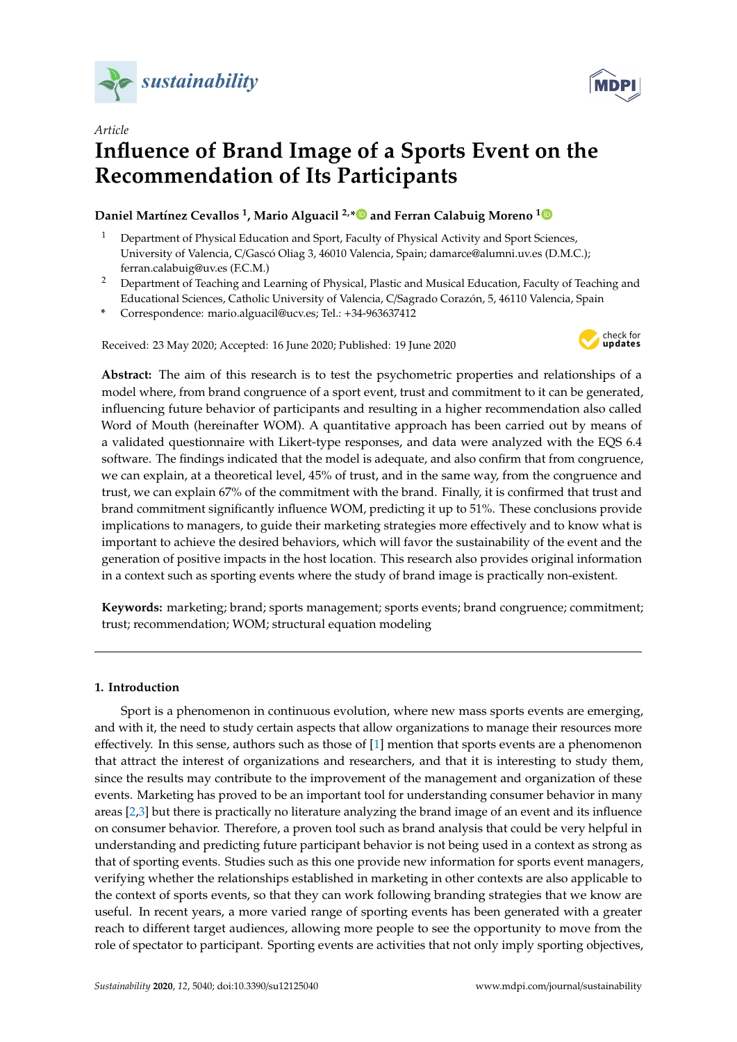



# *Article* **Influence of Brand Image of a Sports Event on the Recommendation of Its Participants**

# **Daniel Martínez Cevallos <sup>1</sup> , Mario Alguacil 2,[\\*](https://orcid.org/0000-0002-4832-2290) and Ferran Calabuig Moreno [1](https://orcid.org/0000-0002-4538-2976)**

- <sup>1</sup> Department of Physical Education and Sport, Faculty of Physical Activity and Sport Sciences, University of Valencia, C/Gascó Oliag 3, 46010 Valencia, Spain; damarce@alumni.uv.es (D.M.C.); ferran.calabuig@uv.es (F.C.M.)
- <sup>2</sup> Department of Teaching and Learning of Physical, Plastic and Musical Education, Faculty of Teaching and Educational Sciences, Catholic University of Valencia, C/Sagrado Corazón, 5, 46110 Valencia, Spain
- **\*** Correspondence: mario.alguacil@ucv.es; Tel.: +34-963637412

Received: 23 May 2020; Accepted: 16 June 2020; Published: 19 June 2020



**Abstract:** The aim of this research is to test the psychometric properties and relationships of a model where, from brand congruence of a sport event, trust and commitment to it can be generated, influencing future behavior of participants and resulting in a higher recommendation also called Word of Mouth (hereinafter WOM). A quantitative approach has been carried out by means of a validated questionnaire with Likert-type responses, and data were analyzed with the EQS 6.4 software. The findings indicated that the model is adequate, and also confirm that from congruence, we can explain, at a theoretical level, 45% of trust, and in the same way, from the congruence and trust, we can explain 67% of the commitment with the brand. Finally, it is confirmed that trust and brand commitment significantly influence WOM, predicting it up to 51%. These conclusions provide implications to managers, to guide their marketing strategies more effectively and to know what is important to achieve the desired behaviors, which will favor the sustainability of the event and the generation of positive impacts in the host location. This research also provides original information in a context such as sporting events where the study of brand image is practically non-existent.

**Keywords:** marketing; brand; sports management; sports events; brand congruence; commitment; trust; recommendation; WOM; structural equation modeling

## **1. Introduction**

Sport is a phenomenon in continuous evolution, where new mass sports events are emerging, and with it, the need to study certain aspects that allow organizations to manage their resources more effectively. In this sense, authors such as those of [\[1\]](#page-8-0) mention that sports events are a phenomenon that attract the interest of organizations and researchers, and that it is interesting to study them, since the results may contribute to the improvement of the management and organization of these events. Marketing has proved to be an important tool for understanding consumer behavior in many areas [\[2,](#page-8-1)[3\]](#page-8-2) but there is practically no literature analyzing the brand image of an event and its influence on consumer behavior. Therefore, a proven tool such as brand analysis that could be very helpful in understanding and predicting future participant behavior is not being used in a context as strong as that of sporting events. Studies such as this one provide new information for sports event managers, verifying whether the relationships established in marketing in other contexts are also applicable to the context of sports events, so that they can work following branding strategies that we know are useful. In recent years, a more varied range of sporting events has been generated with a greater reach to different target audiences, allowing more people to see the opportunity to move from the role of spectator to participant. Sporting events are activities that not only imply sporting objectives,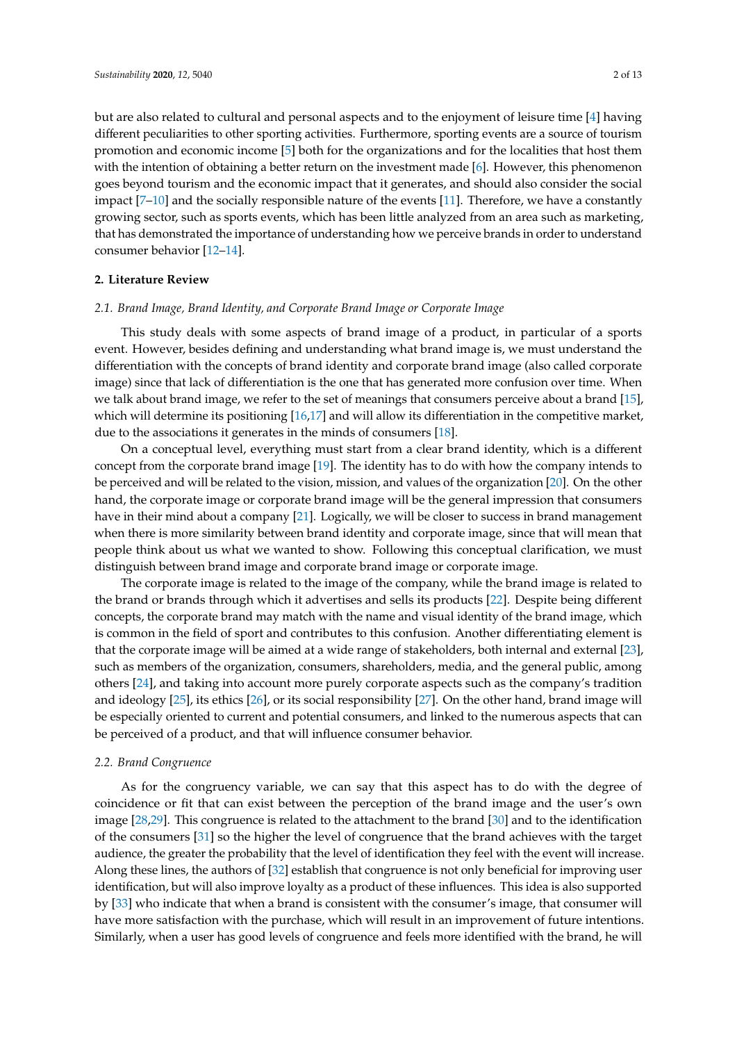but are also related to cultural and personal aspects and to the enjoyment of leisure time [\[4\]](#page-8-3) having different peculiarities to other sporting activities. Furthermore, sporting events are a source of tourism promotion and economic income [\[5\]](#page-8-4) both for the organizations and for the localities that host them with the intention of obtaining a better return on the investment made [\[6\]](#page-8-5). However, this phenomenon goes beyond tourism and the economic impact that it generates, and should also consider the social impact [\[7](#page-8-6)[–10\]](#page-9-0) and the socially responsible nature of the events [\[11\]](#page-9-1). Therefore, we have a constantly growing sector, such as sports events, which has been little analyzed from an area such as marketing, that has demonstrated the importance of understanding how we perceive brands in order to understand consumer behavior [\[12](#page-9-2)[–14\]](#page-9-3).

### **2. Literature Review**

#### *2.1. Brand Image, Brand Identity, and Corporate Brand Image or Corporate Image*

This study deals with some aspects of brand image of a product, in particular of a sports event. However, besides defining and understanding what brand image is, we must understand the differentiation with the concepts of brand identity and corporate brand image (also called corporate image) since that lack of differentiation is the one that has generated more confusion over time. When we talk about brand image, we refer to the set of meanings that consumers perceive about a brand [\[15\]](#page-9-4), which will determine its positioning [\[16](#page-9-5)[,17\]](#page-9-6) and will allow its differentiation in the competitive market, due to the associations it generates in the minds of consumers [\[18\]](#page-9-7).

On a conceptual level, everything must start from a clear brand identity, which is a different concept from the corporate brand image [\[19\]](#page-9-8). The identity has to do with how the company intends to be perceived and will be related to the vision, mission, and values of the organization [\[20\]](#page-9-9). On the other hand, the corporate image or corporate brand image will be the general impression that consumers have in their mind about a company [\[21\]](#page-9-10). Logically, we will be closer to success in brand management when there is more similarity between brand identity and corporate image, since that will mean that people think about us what we wanted to show. Following this conceptual clarification, we must distinguish between brand image and corporate brand image or corporate image.

The corporate image is related to the image of the company, while the brand image is related to the brand or brands through which it advertises and sells its products [\[22\]](#page-9-11). Despite being different concepts, the corporate brand may match with the name and visual identity of the brand image, which is common in the field of sport and contributes to this confusion. Another differentiating element is that the corporate image will be aimed at a wide range of stakeholders, both internal and external [\[23\]](#page-9-12), such as members of the organization, consumers, shareholders, media, and the general public, among others [\[24\]](#page-9-13), and taking into account more purely corporate aspects such as the company's tradition and ideology [\[25\]](#page-9-14), its ethics [\[26\]](#page-9-15), or its social responsibility [\[27\]](#page-9-16). On the other hand, brand image will be especially oriented to current and potential consumers, and linked to the numerous aspects that can be perceived of a product, and that will influence consumer behavior.

#### *2.2. Brand Congruence*

As for the congruency variable, we can say that this aspect has to do with the degree of coincidence or fit that can exist between the perception of the brand image and the user's own image [\[28](#page-9-17)[,29\]](#page-9-18). This congruence is related to the attachment to the brand [\[30\]](#page-9-19) and to the identification of the consumers [\[31\]](#page-9-20) so the higher the level of congruence that the brand achieves with the target audience, the greater the probability that the level of identification they feel with the event will increase. Along these lines, the authors of [\[32\]](#page-9-21) establish that congruence is not only beneficial for improving user identification, but will also improve loyalty as a product of these influences. This idea is also supported by [\[33\]](#page-9-22) who indicate that when a brand is consistent with the consumer's image, that consumer will have more satisfaction with the purchase, which will result in an improvement of future intentions. Similarly, when a user has good levels of congruence and feels more identified with the brand, he will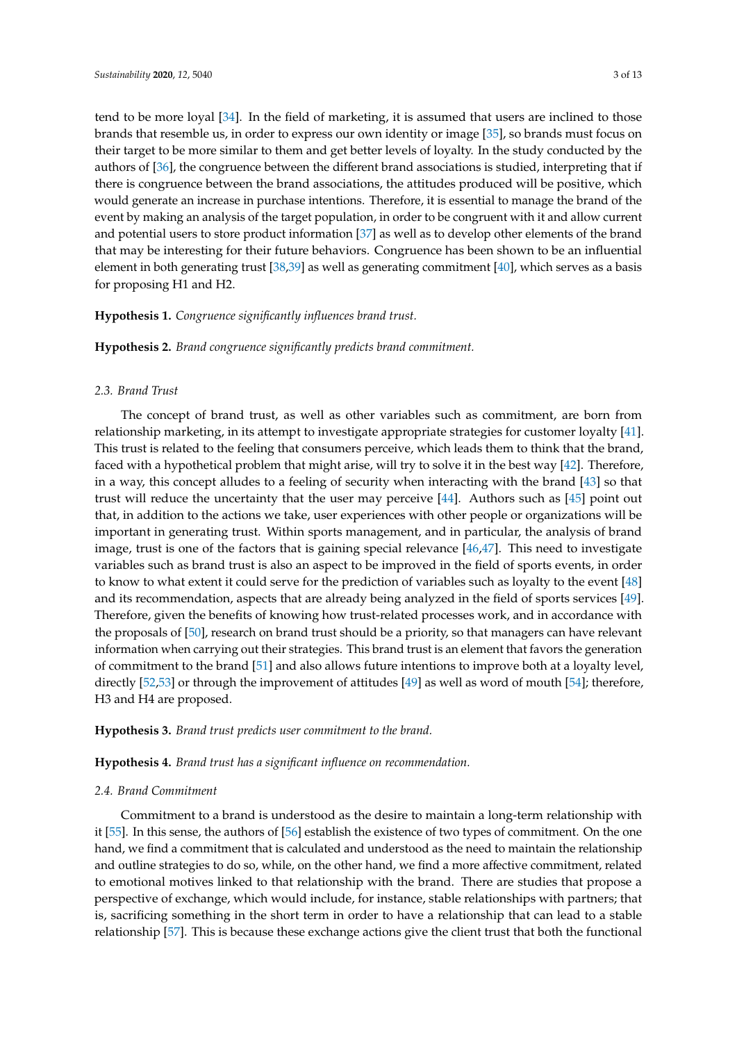tend to be more loyal [\[34\]](#page-10-0). In the field of marketing, it is assumed that users are inclined to those brands that resemble us, in order to express our own identity or image [\[35\]](#page-10-1), so brands must focus on their target to be more similar to them and get better levels of loyalty. In the study conducted by the authors of [\[36\]](#page-10-2), the congruence between the different brand associations is studied, interpreting that if there is congruence between the brand associations, the attitudes produced will be positive, which would generate an increase in purchase intentions. Therefore, it is essential to manage the brand of the event by making an analysis of the target population, in order to be congruent with it and allow current and potential users to store product information [\[37\]](#page-10-3) as well as to develop other elements of the brand that may be interesting for their future behaviors. Congruence has been shown to be an influential element in both generating trust [\[38,](#page-10-4)[39\]](#page-10-5) as well as generating commitment [\[40\]](#page-10-6), which serves as a basis for proposing H1 and H2.

### **Hypothesis 1.** *Congruence significantly influences brand trust.*

**Hypothesis 2.** *Brand congruence significantly predicts brand commitment.*

#### *2.3. Brand Trust*

The concept of brand trust, as well as other variables such as commitment, are born from relationship marketing, in its attempt to investigate appropriate strategies for customer loyalty [\[41\]](#page-10-7). This trust is related to the feeling that consumers perceive, which leads them to think that the brand, faced with a hypothetical problem that might arise, will try to solve it in the best way [\[42\]](#page-10-8). Therefore, in a way, this concept alludes to a feeling of security when interacting with the brand [\[43\]](#page-10-9) so that trust will reduce the uncertainty that the user may perceive [\[44\]](#page-10-10). Authors such as [\[45\]](#page-10-11) point out that, in addition to the actions we take, user experiences with other people or organizations will be important in generating trust. Within sports management, and in particular, the analysis of brand image, trust is one of the factors that is gaining special relevance [\[46](#page-10-12)[,47\]](#page-10-13). This need to investigate variables such as brand trust is also an aspect to be improved in the field of sports events, in order to know to what extent it could serve for the prediction of variables such as loyalty to the event [\[48\]](#page-10-14) and its recommendation, aspects that are already being analyzed in the field of sports services [\[49\]](#page-10-15). Therefore, given the benefits of knowing how trust-related processes work, and in accordance with the proposals of [\[50\]](#page-10-16), research on brand trust should be a priority, so that managers can have relevant information when carrying out their strategies. This brand trust is an element that favors the generation of commitment to the brand [\[51\]](#page-10-17) and also allows future intentions to improve both at a loyalty level, directly [\[52,](#page-10-18)[53\]](#page-10-19) or through the improvement of attitudes [\[49\]](#page-10-15) as well as word of mouth [\[54\]](#page-10-20); therefore, H3 and H4 are proposed.

**Hypothesis 3.** *Brand trust predicts user commitment to the brand.*

**Hypothesis 4.** *Brand trust has a significant influence on recommendation.*

#### *2.4. Brand Commitment*

Commitment to a brand is understood as the desire to maintain a long-term relationship with it [\[55\]](#page-10-21). In this sense, the authors of [\[56\]](#page-10-22) establish the existence of two types of commitment. On the one hand, we find a commitment that is calculated and understood as the need to maintain the relationship and outline strategies to do so, while, on the other hand, we find a more affective commitment, related to emotional motives linked to that relationship with the brand. There are studies that propose a perspective of exchange, which would include, for instance, stable relationships with partners; that is, sacrificing something in the short term in order to have a relationship that can lead to a stable relationship [\[57\]](#page-10-23). This is because these exchange actions give the client trust that both the functional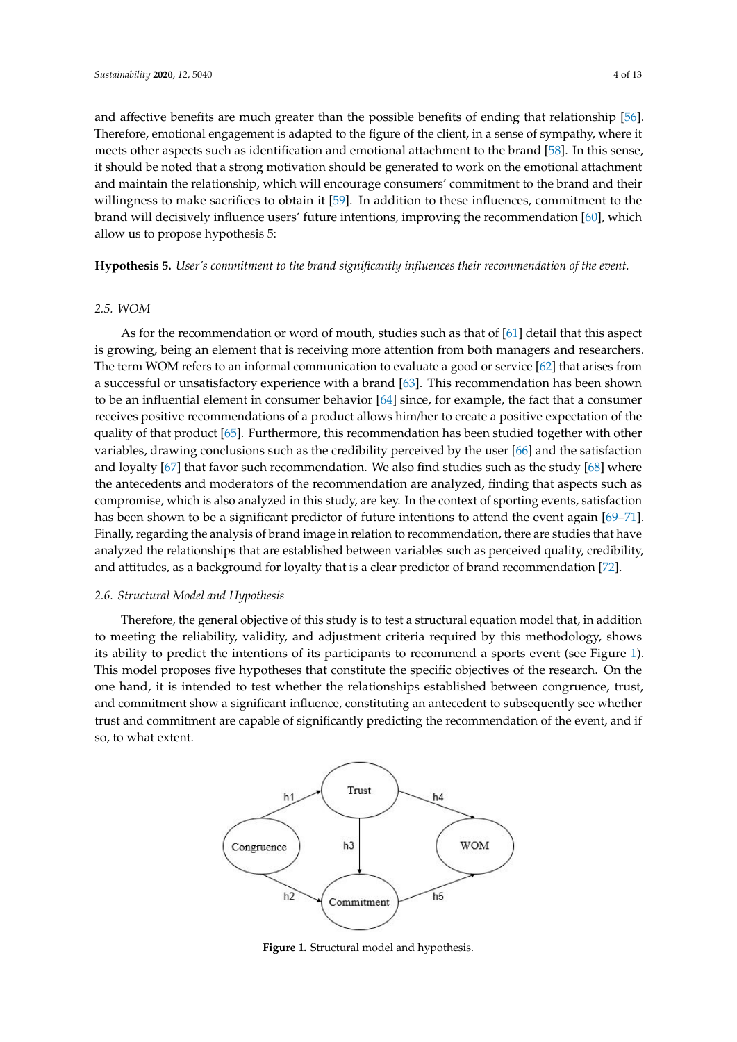and affective benefits are much greater than the possible benefits of ending that relationship [\[56\]](#page-10-22). Therefore, emotional engagement is adapted to the figure of the client, in a sense of sympathy, where it meets other aspects such as identification and emotional attachment to the brand [\[58\]](#page-10-24). In this sense, it should be noted that a strong motivation should be generated to work on the emotional attachment and maintain the relationship, which will encourage consumers' commitment to the brand and their willingness to make sacrifices to obtain it  $[59]$ . In addition to these influences, commitment to the brand will decisively influence users' future intentions, improving the recommendation [\[60\]](#page-11-1), which  $\,$ allow us to propose hypothesis 5:

**Hypothesis 5.** *User's commitment to the brand significantly influences their recommendation of the event.*

#### *2.5. WOM*  $NOM$

As for the recommendation or word of mouth, studies such as that of [\[61\]](#page-11-2) detail that this aspect In term were communicated in the term work of model, statute statute and the term which managers and researchers. The term WOM refers to an informal communication to evaluate a good or service [\[62\]](#page-11-3) that arises from a successful or unsatisfactory experience with a brand [\[63\]](#page-11-4). This recommendation has been shown a successful or unsatisfactory experience with a brand [63]. This recommendation has been shown to be an influential element in consumer behavior [\[64\]](#page-11-5) since, for example, the fact that a consumer receives positive recommendations of a product allows him/her to create a positive expectation of the quality of that product [\[65\]](#page-11-6). Furthermore, this recommendation has been studied together with other<br>and the satisfaction and lots far outlet and lots find studies such as the such field studies such that the st variables, drawing conclusions such as the credibility perceived by the user [\[66\]](#page-11-7) and the satisfaction variables, and might concreasions seen as the creationly perceived by the aser [60] and the salisfaction and loyalty [\[67\]](#page-11-8) that favor such recommendation. We also find studies such as the study [\[68\]](#page-11-9) where the antecedents and moderators of the recommendation are analyzed, finding that aspects such as the antecedents and moderators of the recommendation are analyzed, finding that aspects such as compromise, which is also analyzed in this study, are key. In the context of sporting events, satisfaction compromise, which is also analyzed in this study, are key. In the context of sporting events, satisfaction has been shown to be a significant predictor of future intentions to attend the event again [\[69–](#page-11-10)[71\]](#page-11-11). the been shown to be a significant predictor of rature intendents to attend the event again [69,41].<br>Finally, regarding the analysis of brand image in relation to recommendation, there are studies that have analyzed the relationships that are established between variables such as perceived quality, credibility, and attitudes, as a background for loyalty that is a clear predictor of brand recommendation [\[72\]](#page-11-12). from a successful or understand the successing from anonon from bout management accountment.  $\alpha$  consumer recommendations of a product and  $\alpha$  product allows himing  $\alpha$  product allows himing  $\alpha$  positive and  $\alpha$  positive and  $\alpha$  positive and  $\alpha$  positive and  $\alpha$  positive and  $\alpha$  positive and  $\alpha$  positiv  $\frac{1}{2}$  to gether variables, drawing conclusions such as the credibility perceived by the user  $\frac{1}{2}$  ( $\frac{1}{2}$ )  $\frac{1}{2}$  ( $\frac{1}{2}$ )  $\frac{1}{2}$ )  $\frac{1}{2}$  ( $\frac{1}{2}$ )  $\frac{1}{2}$ )  $\frac{1}{2}$  ( $\frac{1}{2}$ )  $\frac{1}{2}$ )  $\frac$ the event again for the event and the set of the analysis of the analysis of brand in relation to recommendation, percept quality in the attachment of credibility, and a background for low low low low low low low low that is

# *2.6. Structural Model and Hypothesis 2.6. Structural Model and Hypothesis*

Therefore, the general objective of this study is to test a structural equation model that, in addition Therefore, the general objective of this study is to test a structural equation model that, in to meeting the reliability, validity, and adjustment criteria required by this methodology, shows its ability to predict the intentions of its participants to recommend a sports event (see Figure [1\)](#page-3-0). This model proposes five hypotheses that constitute the specific objectives of the research. On the one hand, it is intended to test whether the relationships established between congruence, trust, and commitment show a significant influence, constituting an antecedent to subsequently see whether trust and commitment are capable of significantly predicting the recommendation of the event, and if so, to what extent.

<span id="page-3-0"></span>

**Figure 1.** Structural model and hypothesis. **Figure 1.** Structural model and hypothesis.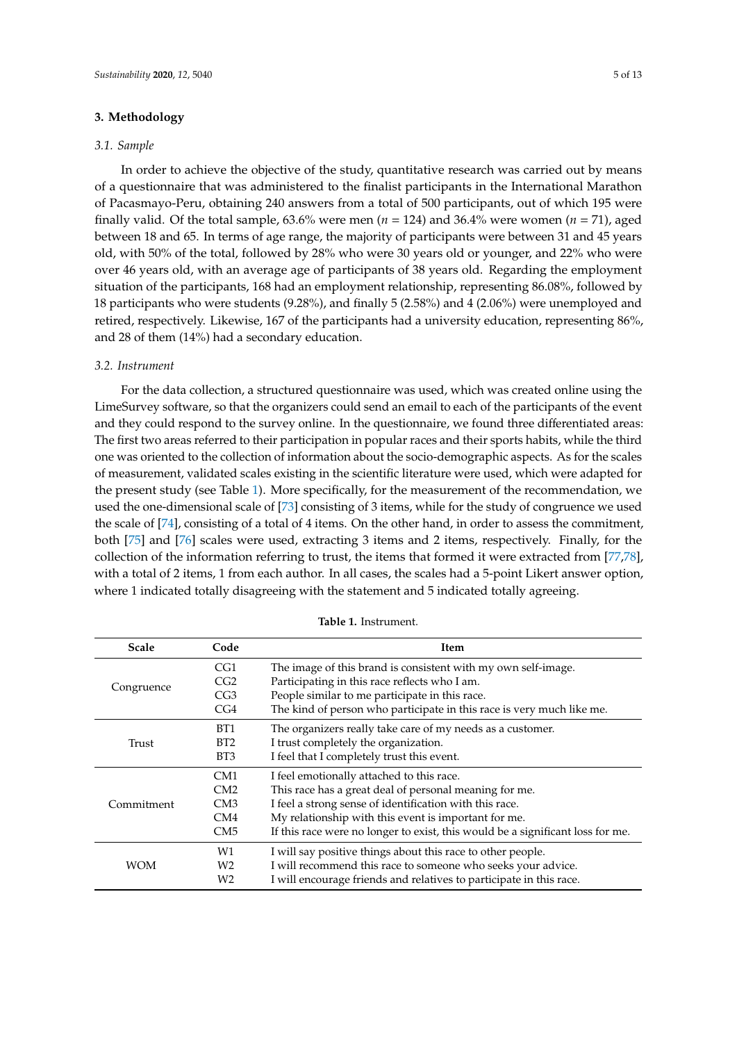### **3. Methodology**

#### *3.1. Sample*

In order to achieve the objective of the study, quantitative research was carried out by means of a questionnaire that was administered to the finalist participants in the International Marathon of Pacasmayo-Peru, obtaining 240 answers from a total of 500 participants, out of which 195 were finally valid. Of the total sample, 63.6% were men ( $n = 124$ ) and 36.4% were women ( $n = 71$ ), aged between 18 and 65. In terms of age range, the majority of participants were between 31 and 45 years old, with 50% of the total, followed by 28% who were 30 years old or younger, and 22% who were over 46 years old, with an average age of participants of 38 years old. Regarding the employment situation of the participants, 168 had an employment relationship, representing 86.08%, followed by 18 participants who were students (9.28%), and finally 5 (2.58%) and 4 (2.06%) were unemployed and retired, respectively. Likewise, 167 of the participants had a university education, representing 86%, and 28 of them (14%) had a secondary education.

### *3.2. Instrument*

For the data collection, a structured questionnaire was used, which was created online using the LimeSurvey software, so that the organizers could send an email to each of the participants of the event and they could respond to the survey online. In the questionnaire, we found three differentiated areas: The first two areas referred to their participation in popular races and their sports habits, while the third one was oriented to the collection of information about the socio-demographic aspects. As for the scales of measurement, validated scales existing in the scientific literature were used, which were adapted for the present study (see Table [1\)](#page-4-0). More specifically, for the measurement of the recommendation, we used the one-dimensional scale of [\[73\]](#page-11-13) consisting of 3 items, while for the study of congruence we used the scale of [\[74\]](#page-11-14), consisting of a total of 4 items. On the other hand, in order to assess the commitment, both [\[75\]](#page-11-15) and [\[76\]](#page-11-16) scales were used, extracting 3 items and 2 items, respectively. Finally, for the collection of the information referring to trust, the items that formed it were extracted from [\[77,](#page-11-17)[78\]](#page-11-18), with a total of 2 items, 1 from each author. In all cases, the scales had a 5-point Likert answer option, where 1 indicated totally disagreeing with the statement and 5 indicated totally agreeing.

<span id="page-4-0"></span>

| <b>Scale</b> | Code            | <b>Item</b>                                                                    |  |  |
|--------------|-----------------|--------------------------------------------------------------------------------|--|--|
| Congruence   | CG <sub>1</sub> | The image of this brand is consistent with my own self-image.                  |  |  |
|              | CG2             | Participating in this race reflects who I am.                                  |  |  |
|              | CG <sub>3</sub> | People similar to me participate in this race.                                 |  |  |
|              | CG4             | The kind of person who participate in this race is very much like me.          |  |  |
| Trust        | BT <sub>1</sub> | The organizers really take care of my needs as a customer.                     |  |  |
|              | BT <sub>2</sub> | I trust completely the organization.                                           |  |  |
|              | BT3             | I feel that I completely trust this event.                                     |  |  |
| Commitment   | CM <sub>1</sub> | I feel emotionally attached to this race.                                      |  |  |
|              | CM2             | This race has a great deal of personal meaning for me.                         |  |  |
|              | CM3             | I feel a strong sense of identification with this race.                        |  |  |
|              | CM4             | My relationship with this event is important for me.                           |  |  |
|              | CM <sub>5</sub> | If this race were no longer to exist, this would be a significant loss for me. |  |  |
| <b>WOM</b>   | W1              | I will say positive things about this race to other people.                    |  |  |
|              | W <sub>2</sub>  | I will recommend this race to someone who seeks your advice.                   |  |  |
|              | W <sub>2</sub>  | I will encourage friends and relatives to participate in this race.            |  |  |

**Table 1.** Instrument.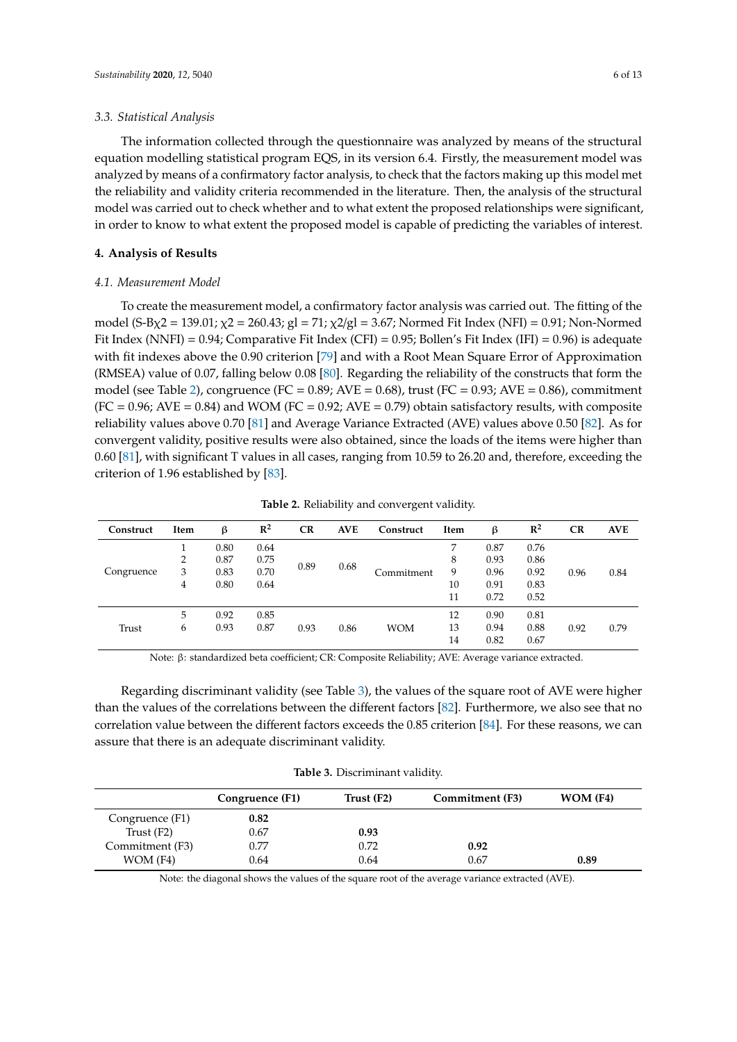#### *3.3. Statistical Analysis*

The information collected through the questionnaire was analyzed by means of the structural equation modelling statistical program EQS, in its version 6.4. Firstly, the measurement model was analyzed by means of a confirmatory factor analysis, to check that the factors making up this model met the reliability and validity criteria recommended in the literature. Then, the analysis of the structural model was carried out to check whether and to what extent the proposed relationships were significant, in order to know to what extent the proposed model is capable of predicting the variables of interest.

#### **4. Analysis of Results**

#### *4.1. Measurement Model*

To create the measurement model, a confirmatory factor analysis was carried out. The fitting of the model (S-B $\chi$ 2 = 139.01;  $\chi$ 2 = 260.43; gl = 71;  $\chi$ 2/gl = 3.67; Normed Fit Index (NFI) = 0.91; Non-Normed Fit Index (NNFI) = 0.94; Comparative Fit Index (CFI) = 0.95; Bollen's Fit Index (IFI) = 0.96) is adequate with fit indexes above the 0.90 criterion [\[79\]](#page-11-19) and with a Root Mean Square Error of Approximation (RMSEA) value of 0.07, falling below 0.08 [\[80\]](#page-11-20). Regarding the reliability of the constructs that form the model (see Table [2\)](#page-5-0), congruence (FC =  $0.89$ ; AVE =  $0.68$ ), trust (FC =  $0.93$ ; AVE =  $0.86$ ), commitment  $(FC = 0.96; AVE = 0.84)$  and WOM  $(FC = 0.92; AVE = 0.79)$  obtain satisfactory results, with composite reliability values above 0.70 [\[81\]](#page-11-21) and Average Variance Extracted (AVE) values above 0.50 [\[82\]](#page-11-22). As for convergent validity, positive results were also obtained, since the loads of the items were higher than 0.60 [\[81\]](#page-11-21), with significant T values in all cases, ranging from 10.59 to 26.20 and, therefore, exceeding the criterion of 1.96 established by [\[83\]](#page-12-0).

<span id="page-5-0"></span>**Construct Item** β **R 2 CR AVE** Construct Item  $\beta$  **R**<sup>2</sup> **<sup>2</sup> CR AVE** Congruence  $\begin{array}{cccc} 1 & 0.80 & 0.64 \\ 2 & 0.87 & 0.75 \end{array}$ 2 0.67 0.10 0.89 0.68 Commitment 9 0.96 0.92 7 0.87 0.76<br>8 0.93 0.86 0.96 0.84 2 0.87 0.75 a.g. a.g. 8 0.93 0.86 4 0.80 0.64 10 0.91 0.83 11 0.72 0.52 Trust 5 0.92 0.85 0.93 0.86 WOM  $\begin{array}{ccc} 12 & \quad & 0.90 & \quad & 0.81 \\ 13 & \quad & 0.94 & \quad & 0.88 \end{array}$ 6 0.93 0.87 13 0.94 0.88 0.92 0.79 14 0.82 0.67

**Table 2.** Reliability and convergent validity.

Note: β: standardized beta coefficient; CR: Composite Reliability; AVE: Average variance extracted.

Regarding discriminant validity (see Table [3\)](#page-5-1), the values of the square root of AVE were higher than the values of the correlations between the different factors [\[82\]](#page-11-22). Furthermore, we also see that no correlation value between the different factors exceeds the 0.85 criterion [\[84\]](#page-12-1). For these reasons, we can assure that there is an adequate discriminant validity.

**Table 3.** Discriminant validity.

<span id="page-5-1"></span>

|                 | Congruence (F1) | Trust (F2) | Commitment (F3) | $WOM$ (F4) |
|-----------------|-----------------|------------|-----------------|------------|
| Congruence (F1) | 0.82            |            |                 |            |
| Trust $(F2)$    | 0.67            | 0.93       |                 |            |
| Commitment (F3) | 0.77            | 0.72       | 0.92            |            |
| $WOM$ (F4)      | 0.64            | 0.64       | 0.67            | 0.89       |

Note: the diagonal shows the values of the square root of the average variance extracted (AVE).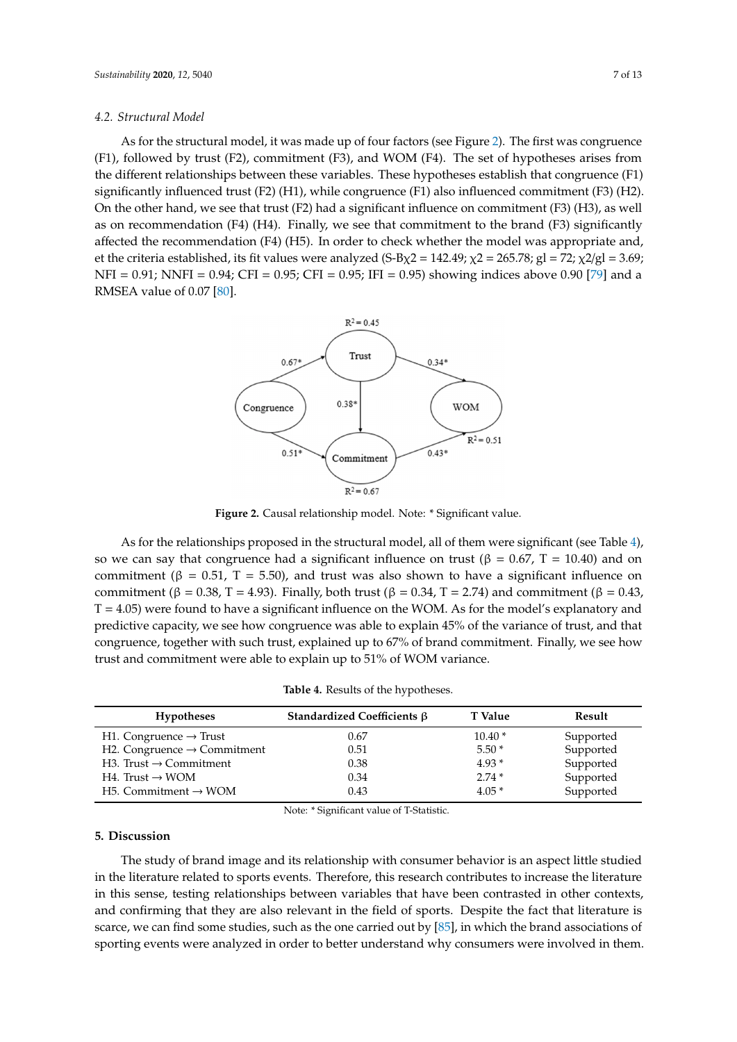## *4.2. Structural Model 4.2. Structural Model*

As for the structural model, it was made up of four factors (see Figure 2). The first was congruence As for the structural model, it was made up of four factors (s[ee](#page-6-0) Figure 2). The first was (F1), followed by trust (F2), commitment (F3), and WOM (F4). The set of hypotheses arises from the different relationships between these variables. These hypotheses establish that congruence (F1) significantly influenced trust (F2) (H1), while congruence (F1) also influenced commitment (F3) (H2). On the other hand, we see that trust (F2) had a significant influence on commitment (F3) (H3), as well as on recommendation (F4) (H4). Finally, we see that commitment to the brand (F3) significantly affected the recommendation (F4) (H5). In order to check whether the model was appropriate and, et the criteria established, its fit values were analyzed (S-Bχ2 = 142.49; χ2 = 265.78; gl = 72; χ2/gl = 3.69; NFI = 0.91; NNFI = 0.94; CFI = 0.95; CFI = 0.95; IFI = 0.95) showing indices above 0.90 [\[79\]](#page-11-19) and a<br>RMSEA value of 0.07 [80]. RMSEA value of 0.07 [80].

<span id="page-6-0"></span>

**Figure 2.** Causal relationship model. **Figure 2.** Causal relationship model. Note: \* Significant value.

So we can say that congruence had a significant influence on trust (β = 0.67, T = 10.40) and on commitment ( $\beta = 0.51$ , T = 5.50), and trust was also shown to have a significant influence on commitment (β = 0.38, T = 4.93). Finally, both trust (β = 0.34, T = 2.74) and commitment (β = 0.43,  $T = 4.05$ ) were found to have a significant influence on the WOM. As for the model's explanatory and predictive capacity, we see how congruence was able to explain 45% of the variance of trust, and that congruence, together with such trust, explained up to 67% of brand commitment. Finally, we see how trust and commitment were able to explain up to 51% of WOM variance. As for the relationships proposed in the structural model, all of them were significant (see Table [4\)](#page-6-1),

| Table 4. Results of the hypotheses. |  |
|-------------------------------------|--|
|-------------------------------------|--|

<span id="page-6-1"></span>

| <b>Hypotheses</b>                             | Standardized Coefficients $\beta$                                                                                                                                                                                                                                                                                                                                               | T Value  | Result    |
|-----------------------------------------------|---------------------------------------------------------------------------------------------------------------------------------------------------------------------------------------------------------------------------------------------------------------------------------------------------------------------------------------------------------------------------------|----------|-----------|
| H1. Congruence $\rightarrow$ Trust            | 0.67                                                                                                                                                                                                                                                                                                                                                                            | $10.40*$ | Supported |
| H2. Congruence $\rightarrow$ Commitment       | 0.51                                                                                                                                                                                                                                                                                                                                                                            | $5.50*$  | Supported |
| H3. Trust $\rightarrow$ Commitment            | 0.38                                                                                                                                                                                                                                                                                                                                                                            | $4.93*$  | Supported |
| $H4.$ Trust $\rightarrow$ WOM                 | 0.34                                                                                                                                                                                                                                                                                                                                                                            | $2.74*$  | Supported |
| H <sub>5</sub> . Commitment $\rightarrow$ WOM | 0.43                                                                                                                                                                                                                                                                                                                                                                            | $4.05*$  | Supported |
|                                               | $\mathbf{r}$ $\mathbf{r}$ $\mathbf{r}$ $\mathbf{r}$ $\mathbf{r}$ $\mathbf{r}$ $\mathbf{r}$ $\mathbf{r}$ $\mathbf{r}$ $\mathbf{r}$ $\mathbf{r}$ $\mathbf{r}$ $\mathbf{r}$ $\mathbf{r}$ $\mathbf{r}$ $\mathbf{r}$ $\mathbf{r}$ $\mathbf{r}$ $\mathbf{r}$ $\mathbf{r}$ $\mathbf{r}$ $\mathbf{r}$ $\mathbf{r}$ $\mathbf{r}$ $\mathbf{$<br>$\sim$ $\sim$ $\sim$ $\sim$ $\sim$ $\sim$ |          |           |

Note: \* Significant value of T-Statistic.

#### $$ **5. Discussion**

The study of brand image and its relationship with consumer behavior is an aspect little studied in the literature related to sports events. Therefore, this research contributes to increase the literature<br>
in the literature and confirming that they are also relevant in the field of sports. Despite the fact that literature is scarce, we can find some studies, such as the one carried out by [\[85\]](#page-12-2), in which the brand associations of sporting events were analyzed in order to better understand why consumers were involved in them. in this sense, testing relationships between variables that have been contrasted in other contexts,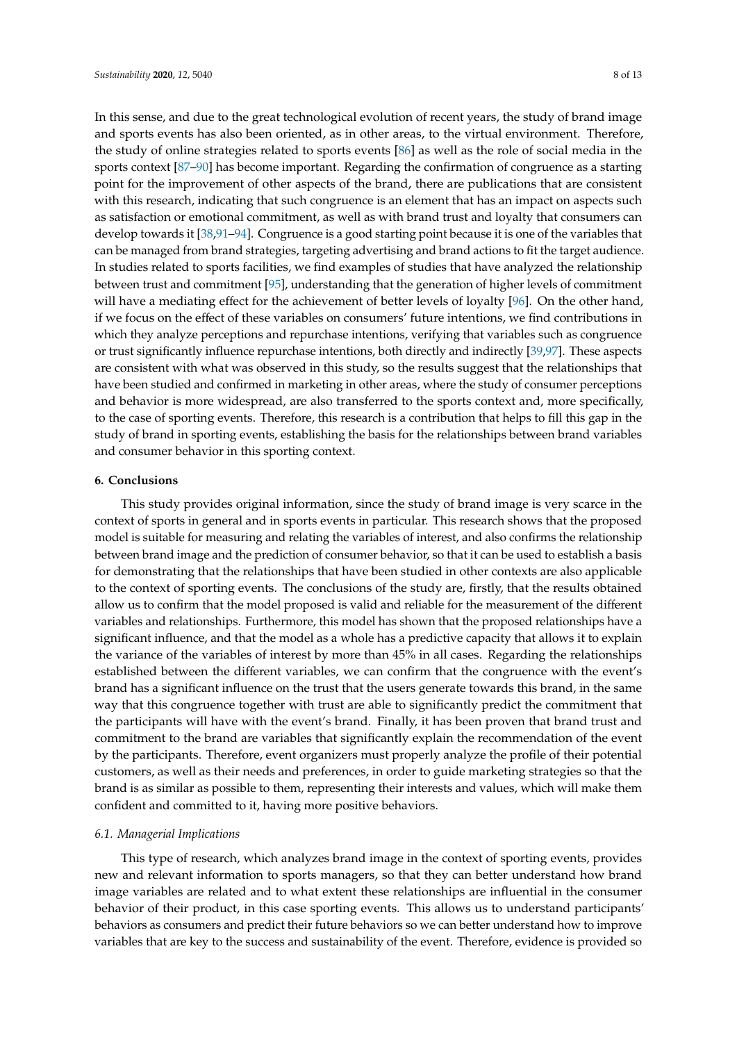In this sense, and due to the great technological evolution of recent years, the study of brand image and sports events has also been oriented, as in other areas, to the virtual environment. Therefore, the study of online strategies related to sports events [\[86\]](#page-12-3) as well as the role of social media in the sports context [\[87–](#page-12-4)[90\]](#page-12-5) has become important. Regarding the confirmation of congruence as a starting point for the improvement of other aspects of the brand, there are publications that are consistent with this research, indicating that such congruence is an element that has an impact on aspects such as satisfaction or emotional commitment, as well as with brand trust and loyalty that consumers can develop towards it [\[38,](#page-10-4)[91](#page-12-6)[–94\]](#page-12-7). Congruence is a good starting point because it is one of the variables that can be managed from brand strategies, targeting advertising and brand actions to fit the target audience. In studies related to sports facilities, we find examples of studies that have analyzed the relationship between trust and commitment [\[95\]](#page-12-8), understanding that the generation of higher levels of commitment will have a mediating effect for the achievement of better levels of loyalty [\[96\]](#page-12-9). On the other hand, if we focus on the effect of these variables on consumers' future intentions, we find contributions in which they analyze perceptions and repurchase intentions, verifying that variables such as congruence or trust significantly influence repurchase intentions, both directly and indirectly [\[39,](#page-10-5)[97\]](#page-12-10). These aspects are consistent with what was observed in this study, so the results suggest that the relationships that have been studied and confirmed in marketing in other areas, where the study of consumer perceptions and behavior is more widespread, are also transferred to the sports context and, more specifically, to the case of sporting events. Therefore, this research is a contribution that helps to fill this gap in the study of brand in sporting events, establishing the basis for the relationships between brand variables and consumer behavior in this sporting context.

#### **6. Conclusions**

This study provides original information, since the study of brand image is very scarce in the context of sports in general and in sports events in particular. This research shows that the proposed model is suitable for measuring and relating the variables of interest, and also confirms the relationship between brand image and the prediction of consumer behavior, so that it can be used to establish a basis for demonstrating that the relationships that have been studied in other contexts are also applicable to the context of sporting events. The conclusions of the study are, firstly, that the results obtained allow us to confirm that the model proposed is valid and reliable for the measurement of the different variables and relationships. Furthermore, this model has shown that the proposed relationships have a significant influence, and that the model as a whole has a predictive capacity that allows it to explain the variance of the variables of interest by more than 45% in all cases. Regarding the relationships established between the different variables, we can confirm that the congruence with the event's brand has a significant influence on the trust that the users generate towards this brand, in the same way that this congruence together with trust are able to significantly predict the commitment that the participants will have with the event's brand. Finally, it has been proven that brand trust and commitment to the brand are variables that significantly explain the recommendation of the event by the participants. Therefore, event organizers must properly analyze the profile of their potential customers, as well as their needs and preferences, in order to guide marketing strategies so that the brand is as similar as possible to them, representing their interests and values, which will make them confident and committed to it, having more positive behaviors.

#### *6.1. Managerial Implications*

This type of research, which analyzes brand image in the context of sporting events, provides new and relevant information to sports managers, so that they can better understand how brand image variables are related and to what extent these relationships are influential in the consumer behavior of their product, in this case sporting events. This allows us to understand participants' behaviors as consumers and predict their future behaviors so we can better understand how to improve variables that are key to the success and sustainability of the event. Therefore, evidence is provided so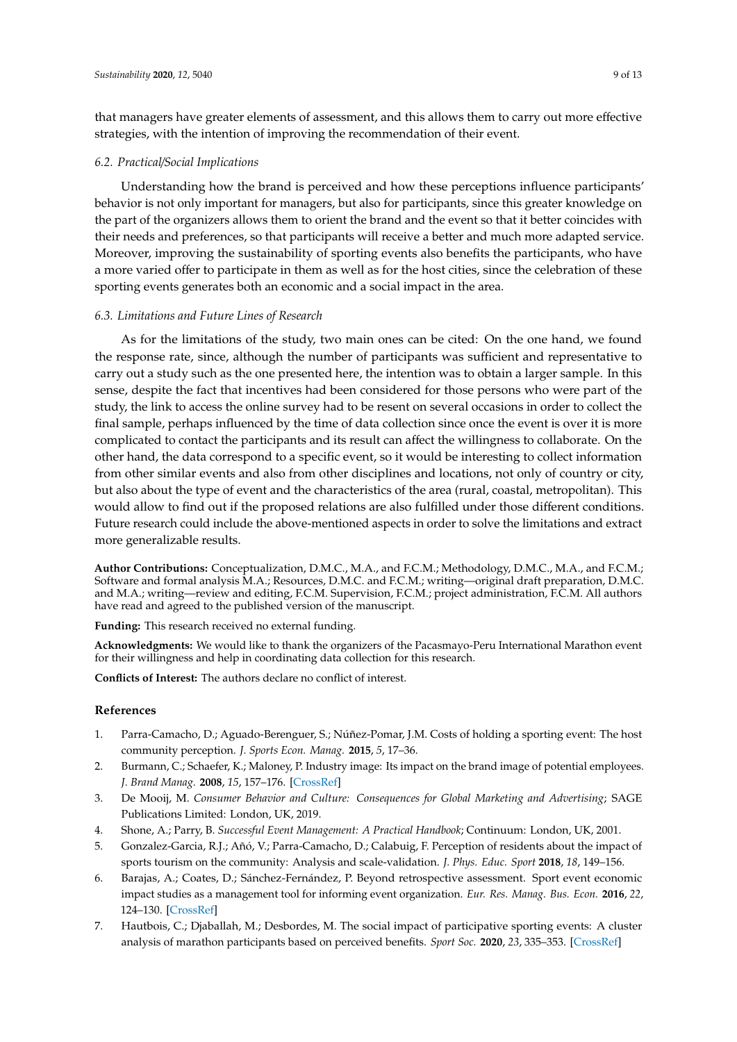that managers have greater elements of assessment, and this allows them to carry out more effective strategies, with the intention of improving the recommendation of their event.

### *6.2. Practical*/*Social Implications*

Understanding how the brand is perceived and how these perceptions influence participants' behavior is not only important for managers, but also for participants, since this greater knowledge on the part of the organizers allows them to orient the brand and the event so that it better coincides with their needs and preferences, so that participants will receive a better and much more adapted service. Moreover, improving the sustainability of sporting events also benefits the participants, who have a more varied offer to participate in them as well as for the host cities, since the celebration of these sporting events generates both an economic and a social impact in the area.

### *6.3. Limitations and Future Lines of Research*

As for the limitations of the study, two main ones can be cited: On the one hand, we found the response rate, since, although the number of participants was sufficient and representative to carry out a study such as the one presented here, the intention was to obtain a larger sample. In this sense, despite the fact that incentives had been considered for those persons who were part of the study, the link to access the online survey had to be resent on several occasions in order to collect the final sample, perhaps influenced by the time of data collection since once the event is over it is more complicated to contact the participants and its result can affect the willingness to collaborate. On the other hand, the data correspond to a specific event, so it would be interesting to collect information from other similar events and also from other disciplines and locations, not only of country or city, but also about the type of event and the characteristics of the area (rural, coastal, metropolitan). This would allow to find out if the proposed relations are also fulfilled under those different conditions. Future research could include the above-mentioned aspects in order to solve the limitations and extract more generalizable results.

**Author Contributions:** Conceptualization, D.M.C., M.A., and F.C.M.; Methodology, D.M.C., M.A., and F.C.M.; Software and formal analysis M.A.; Resources, D.M.C. and F.C.M.; writing—original draft preparation, D.M.C. and M.A.; writing—review and editing, F.C.M. Supervision, F.C.M.; project administration, F.C.M. All authors have read and agreed to the published version of the manuscript.

**Funding:** This research received no external funding.

**Acknowledgments:** We would like to thank the organizers of the Pacasmayo-Peru International Marathon event for their willingness and help in coordinating data collection for this research.

**Conflicts of Interest:** The authors declare no conflict of interest.

### **References**

- <span id="page-8-0"></span>1. Parra-Camacho, D.; Aguado-Berenguer, S.; Núñez-Pomar, J.M. Costs of holding a sporting event: The host community perception. *J. Sports Econ. Manag.* **2015**, *5*, 17–36.
- <span id="page-8-1"></span>2. Burmann, C.; Schaefer, K.; Maloney, P. Industry image: Its impact on the brand image of potential employees. *J. Brand Manag.* **2008**, *15*, 157–176. [\[CrossRef\]](http://dx.doi.org/10.1057/palgrave.bm.2550112)
- <span id="page-8-2"></span>3. De Mooij, M. *Consumer Behavior and Culture: Consequences for Global Marketing and Advertising*; SAGE Publications Limited: London, UK, 2019.
- <span id="page-8-3"></span>4. Shone, A.; Parry, B. *Successful Event Management: A Practical Handbook*; Continuum: London, UK, 2001.
- <span id="page-8-4"></span>5. Gonzalez-Garcia, R.J.; Añó, V.; Parra-Camacho, D.; Calabuig, F. Perception of residents about the impact of sports tourism on the community: Analysis and scale-validation. *J. Phys. Educ. Sport* **2018**, *18*, 149–156.
- <span id="page-8-5"></span>6. Barajas, A.; Coates, D.; Sánchez-Fernández, P. Beyond retrospective assessment. Sport event economic impact studies as a management tool for informing event organization. *Eur. Res. Manag. Bus. Econ.* **2016**, *22*, 124–130. [\[CrossRef\]](http://dx.doi.org/10.1016/j.iedee.2015.05.001)
- <span id="page-8-6"></span>7. Hautbois, C.; Djaballah, M.; Desbordes, M. The social impact of participative sporting events: A cluster analysis of marathon participants based on perceived benefits. *Sport Soc.* **2020**, *23*, 335–353. [\[CrossRef\]](http://dx.doi.org/10.1080/17430437.2019.1673371)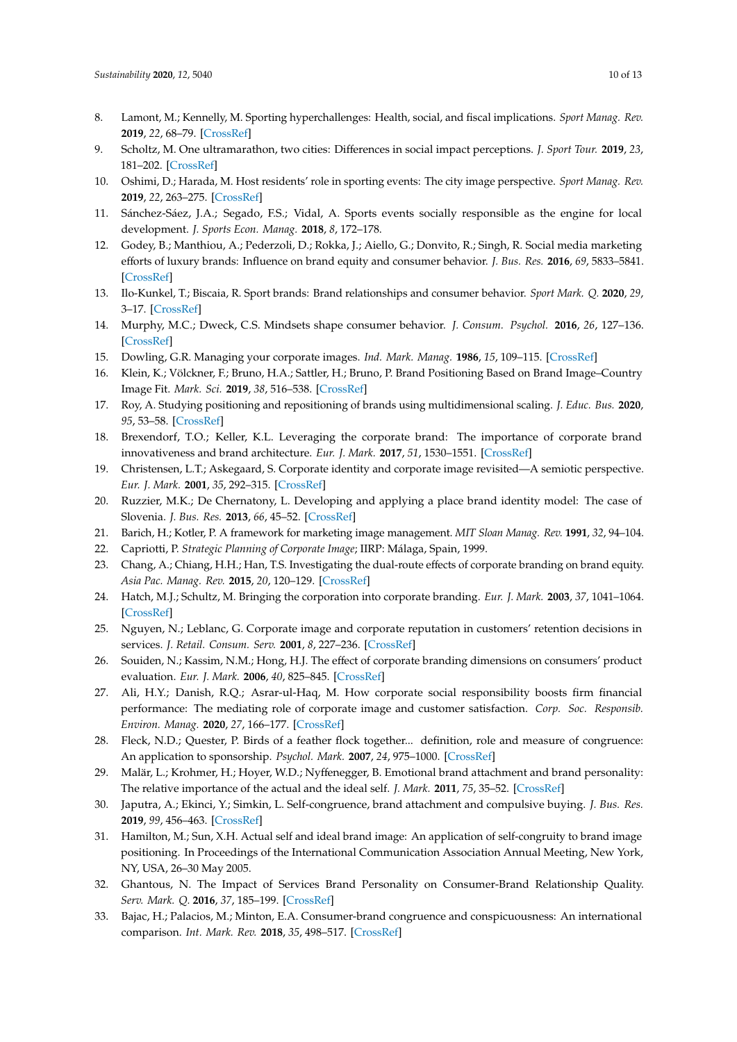- 8. Lamont, M.; Kennelly, M. Sporting hyperchallenges: Health, social, and fiscal implications. *Sport Manag. Rev.* **2019**, *22*, 68–79. [\[CrossRef\]](http://dx.doi.org/10.1016/j.smr.2018.02.003)
- 9. Scholtz, M. One ultramarathon, two cities: Differences in social impact perceptions. *J. Sport Tour.* **2019**, *23*, 181–202. [\[CrossRef\]](http://dx.doi.org/10.1080/14775085.2019.1654905)
- <span id="page-9-0"></span>10. Oshimi, D.; Harada, M. Host residents' role in sporting events: The city image perspective. *Sport Manag. Rev.* **2019**, *22*, 263–275. [\[CrossRef\]](http://dx.doi.org/10.1016/j.smr.2018.04.002)
- <span id="page-9-1"></span>11. Sánchez-Sáez, J.A.; Segado, F.S.; Vidal, A. Sports events socially responsible as the engine for local development. *J. Sports Econ. Manag.* **2018**, *8*, 172–178.
- <span id="page-9-2"></span>12. Godey, B.; Manthiou, A.; Pederzoli, D.; Rokka, J.; Aiello, G.; Donvito, R.; Singh, R. Social media marketing efforts of luxury brands: Influence on brand equity and consumer behavior. *J. Bus. Res.* **2016**, *69*, 5833–5841. [\[CrossRef\]](http://dx.doi.org/10.1016/j.jbusres.2016.04.181)
- 13. Ilo-Kunkel, T.; Biscaia, R. Sport brands: Brand relationships and consumer behavior. *Sport Mark. Q.* **2020**, *29*, 3–17. [\[CrossRef\]](http://dx.doi.org/10.32731/SMQ.291.032020.01)
- <span id="page-9-3"></span>14. Murphy, M.C.; Dweck, C.S. Mindsets shape consumer behavior. *J. Consum. Psychol.* **2016**, *26*, 127–136. [\[CrossRef\]](http://dx.doi.org/10.1016/j.jcps.2015.06.005)
- <span id="page-9-4"></span>15. Dowling, G.R. Managing your corporate images. *Ind. Mark. Manag.* **1986**, *15*, 109–115. [\[CrossRef\]](http://dx.doi.org/10.1016/0019-8501(86)90051-9)
- <span id="page-9-5"></span>16. Klein, K.; Völckner, F.; Bruno, H.A.; Sattler, H.; Bruno, P. Brand Positioning Based on Brand Image–Country Image Fit. *Mark. Sci.* **2019**, *38*, 516–538. [\[CrossRef\]](http://dx.doi.org/10.1287/mksc.2019.1151)
- <span id="page-9-6"></span>17. Roy, A. Studying positioning and repositioning of brands using multidimensional scaling. *J. Educ. Bus.* **2020**, *95*, 53–58. [\[CrossRef\]](http://dx.doi.org/10.1080/08832323.2019.1599795)
- <span id="page-9-7"></span>18. Brexendorf, T.O.; Keller, K.L. Leveraging the corporate brand: The importance of corporate brand innovativeness and brand architecture. *Eur. J. Mark.* **2017**, *51*, 1530–1551. [\[CrossRef\]](http://dx.doi.org/10.1108/EJM-07-2017-0445)
- <span id="page-9-8"></span>19. Christensen, L.T.; Askegaard, S. Corporate identity and corporate image revisited—A semiotic perspective. *Eur. J. Mark.* **2001**, *35*, 292–315. [\[CrossRef\]](http://dx.doi.org/10.1108/03090560110381814)
- <span id="page-9-9"></span>20. Ruzzier, M.K.; De Chernatony, L. Developing and applying a place brand identity model: The case of Slovenia. *J. Bus. Res.* **2013**, *66*, 45–52. [\[CrossRef\]](http://dx.doi.org/10.1016/j.jbusres.2012.05.023)
- <span id="page-9-10"></span>21. Barich, H.; Kotler, P. A framework for marketing image management. *MIT Sloan Manag. Rev.* **1991**, *32*, 94–104.
- <span id="page-9-11"></span>22. Capriotti, P. *Strategic Planning of Corporate Image*; IIRP: Málaga, Spain, 1999.
- <span id="page-9-12"></span>23. Chang, A.; Chiang, H.H.; Han, T.S. Investigating the dual-route effects of corporate branding on brand equity. *Asia Pac. Manag. Rev.* **2015**, *20*, 120–129. [\[CrossRef\]](http://dx.doi.org/10.1016/j.apmrv.2014.10.001)
- <span id="page-9-13"></span>24. Hatch, M.J.; Schultz, M. Bringing the corporation into corporate branding. *Eur. J. Mark.* **2003**, *37*, 1041–1064. [\[CrossRef\]](http://dx.doi.org/10.1108/03090560310477654)
- <span id="page-9-14"></span>25. Nguyen, N.; Leblanc, G. Corporate image and corporate reputation in customers' retention decisions in services. *J. Retail. Consum. Serv.* **2001**, *8*, 227–236. [\[CrossRef\]](http://dx.doi.org/10.1016/S0969-6989(00)00029-1)
- <span id="page-9-15"></span>26. Souiden, N.; Kassim, N.M.; Hong, H.J. The effect of corporate branding dimensions on consumers' product evaluation. *Eur. J. Mark.* **2006**, *40*, 825–845. [\[CrossRef\]](http://dx.doi.org/10.1108/03090560610670016)
- <span id="page-9-16"></span>27. Ali, H.Y.; Danish, R.Q.; Asrar-ul-Haq, M. How corporate social responsibility boosts firm financial performance: The mediating role of corporate image and customer satisfaction. *Corp. Soc. Responsib. Environ. Manag.* **2020**, *27*, 166–177. [\[CrossRef\]](http://dx.doi.org/10.1002/csr.1781)
- <span id="page-9-17"></span>28. Fleck, N.D.; Quester, P. Birds of a feather flock together... definition, role and measure of congruence: An application to sponsorship. *Psychol. Mark.* **2007**, *24*, 975–1000. [\[CrossRef\]](http://dx.doi.org/10.1002/mar.20192)
- <span id="page-9-18"></span>29. Malär, L.; Krohmer, H.; Hoyer, W.D.; Nyffenegger, B. Emotional brand attachment and brand personality: The relative importance of the actual and the ideal self. *J. Mark.* **2011**, *75*, 35–52. [\[CrossRef\]](http://dx.doi.org/10.1509/jmkg.75.4.35)
- <span id="page-9-19"></span>30. Japutra, A.; Ekinci, Y.; Simkin, L. Self-congruence, brand attachment and compulsive buying. *J. Bus. Res.* **2019**, *99*, 456–463. [\[CrossRef\]](http://dx.doi.org/10.1016/j.jbusres.2017.08.024)
- <span id="page-9-20"></span>31. Hamilton, M.; Sun, X.H. Actual self and ideal brand image: An application of self-congruity to brand image positioning. In Proceedings of the International Communication Association Annual Meeting, New York, NY, USA, 26–30 May 2005.
- <span id="page-9-21"></span>32. Ghantous, N. The Impact of Services Brand Personality on Consumer-Brand Relationship Quality. *Serv. Mark. Q.* **2016**, *37*, 185–199. [\[CrossRef\]](http://dx.doi.org/10.1080/15332969.2016.1184544)
- <span id="page-9-22"></span>33. Bajac, H.; Palacios, M.; Minton, E.A. Consumer-brand congruence and conspicuousness: An international comparison. *Int. Mark. Rev.* **2018**, *35*, 498–517. [\[CrossRef\]](http://dx.doi.org/10.1108/IMR-12-2016-0225)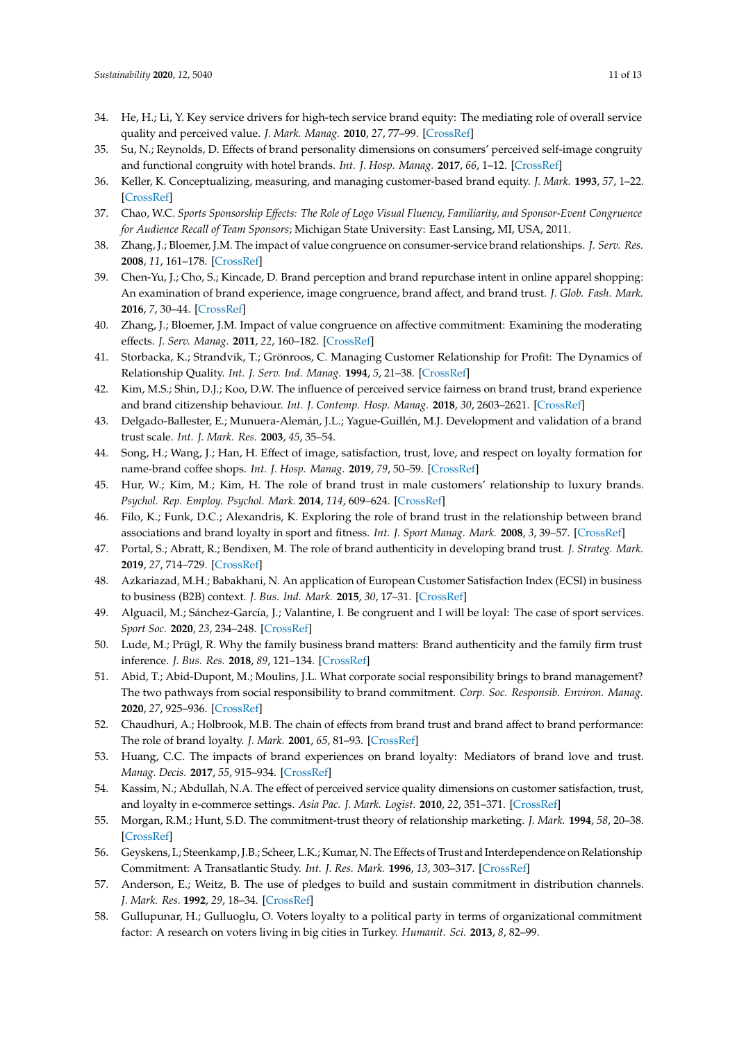- <span id="page-10-0"></span>34. He, H.; Li, Y. Key service drivers for high-tech service brand equity: The mediating role of overall service quality and perceived value. *J. Mark. Manag.* **2010**, *27*, 77–99. [\[CrossRef\]](http://dx.doi.org/10.1080/0267257X.2010.495276)
- <span id="page-10-1"></span>35. Su, N.; Reynolds, D. Effects of brand personality dimensions on consumers' perceived self-image congruity and functional congruity with hotel brands. *Int. J. Hosp. Manag.* **2017**, *66*, 1–12. [\[CrossRef\]](http://dx.doi.org/10.1016/j.ijhm.2017.06.006)
- <span id="page-10-2"></span>36. Keller, K. Conceptualizing, measuring, and managing customer-based brand equity. *J. Mark.* **1993**, *57*, 1–22. [\[CrossRef\]](http://dx.doi.org/10.1177/002224299305700101)
- <span id="page-10-3"></span>37. Chao, W.C. *Sports Sponsorship E*ff*ects: The Role of Logo Visual Fluency, Familiarity, and Sponsor-Event Congruence for Audience Recall of Team Sponsors*; Michigan State University: East Lansing, MI, USA, 2011.
- <span id="page-10-4"></span>38. Zhang, J.; Bloemer, J.M. The impact of value congruence on consumer-service brand relationships. *J. Serv. Res.* **2008**, *11*, 161–178. [\[CrossRef\]](http://dx.doi.org/10.1177/1094670508322561)
- <span id="page-10-5"></span>39. Chen-Yu, J.; Cho, S.; Kincade, D. Brand perception and brand repurchase intent in online apparel shopping: An examination of brand experience, image congruence, brand affect, and brand trust. *J. Glob. Fash. Mark.* **2016**, *7*, 30–44. [\[CrossRef\]](http://dx.doi.org/10.1080/20932685.2015.1110042)
- <span id="page-10-6"></span>40. Zhang, J.; Bloemer, J.M. Impact of value congruence on affective commitment: Examining the moderating effects. *J. Serv. Manag.* **2011**, *22*, 160–182. [\[CrossRef\]](http://dx.doi.org/10.1108/09564231111124208)
- <span id="page-10-7"></span>41. Storbacka, K.; Strandvik, T.; Grönroos, C. Managing Customer Relationship for Profit: The Dynamics of Relationship Quality. *Int. J. Serv. Ind. Manag.* **1994**, *5*, 21–38. [\[CrossRef\]](http://dx.doi.org/10.1108/09564239410074358)
- <span id="page-10-8"></span>42. Kim, M.S.; Shin, D.J.; Koo, D.W. The influence of perceived service fairness on brand trust, brand experience and brand citizenship behaviour. *Int. J. Contemp. Hosp. Manag.* **2018**, *30*, 2603–2621. [\[CrossRef\]](http://dx.doi.org/10.1108/IJCHM-06-2017-0355)
- <span id="page-10-9"></span>43. Delgado-Ballester, E.; Munuera-Alemán, J.L.; Yague-Guillén, M.J. Development and validation of a brand trust scale. *Int. J. Mark. Res.* **2003**, *45*, 35–54.
- <span id="page-10-10"></span>44. Song, H.; Wang, J.; Han, H. Effect of image, satisfaction, trust, love, and respect on loyalty formation for name-brand coffee shops. *Int. J. Hosp. Manag.* **2019**, *79*, 50–59. [\[CrossRef\]](http://dx.doi.org/10.1016/j.ijhm.2018.12.011)
- <span id="page-10-11"></span>45. Hur, W.; Kim, M.; Kim, H. The role of brand trust in male customers' relationship to luxury brands. *Psychol. Rep. Employ. Psychol. Mark.* **2014**, *114*, 609–624. [\[CrossRef\]](http://dx.doi.org/10.2466/01.07.PR0.114k15w8)
- <span id="page-10-12"></span>46. Filo, K.; Funk, D.C.; Alexandris, K. Exploring the role of brand trust in the relationship between brand associations and brand loyalty in sport and fitness. *Int. J. Sport Manag. Mark.* **2008**, *3*, 39–57. [\[CrossRef\]](http://dx.doi.org/10.1504/IJSMM.2008.015960)
- <span id="page-10-13"></span>47. Portal, S.; Abratt, R.; Bendixen, M. The role of brand authenticity in developing brand trust. *J. Strateg. Mark.* **2019**, *27*, 714–729. [\[CrossRef\]](http://dx.doi.org/10.1080/0965254X.2018.1466828)
- <span id="page-10-14"></span>48. Azkariazad, M.H.; Babakhani, N. An application of European Customer Satisfaction Index (ECSI) in business to business (B2B) context. *J. Bus. Ind. Mark.* **2015**, *30*, 17–31. [\[CrossRef\]](http://dx.doi.org/10.1108/JBIM-07-2011-0093)
- <span id="page-10-15"></span>49. Alguacil, M.; Sánchez-García, J.; Valantine, I. Be congruent and I will be loyal: The case of sport services. *Sport Soc.* **2020**, *23*, 234–248. [\[CrossRef\]](http://dx.doi.org/10.1080/17430437.2019.1607305)
- <span id="page-10-16"></span>50. Lude, M.; Prügl, R. Why the family business brand matters: Brand authenticity and the family firm trust inference. *J. Bus. Res.* **2018**, *89*, 121–134. [\[CrossRef\]](http://dx.doi.org/10.1016/j.jbusres.2018.03.040)
- <span id="page-10-17"></span>51. Abid, T.; Abid-Dupont, M.; Moulins, J.L. What corporate social responsibility brings to brand management? The two pathways from social responsibility to brand commitment. *Corp. Soc. Responsib. Environ. Manag.* **2020**, *27*, 925–936. [\[CrossRef\]](http://dx.doi.org/10.1002/csr.1856)
- <span id="page-10-18"></span>52. Chaudhuri, A.; Holbrook, M.B. The chain of effects from brand trust and brand affect to brand performance: The role of brand loyalty. *J. Mark.* **2001**, *65*, 81–93. [\[CrossRef\]](http://dx.doi.org/10.1509/jmkg.65.2.81.18255)
- <span id="page-10-19"></span>53. Huang, C.C. The impacts of brand experiences on brand loyalty: Mediators of brand love and trust. *Manag. Decis.* **2017**, *55*, 915–934. [\[CrossRef\]](http://dx.doi.org/10.1108/MD-10-2015-0465)
- <span id="page-10-20"></span>54. Kassim, N.; Abdullah, N.A. The effect of perceived service quality dimensions on customer satisfaction, trust, and loyalty in e-commerce settings. *Asia Pac. J. Mark. Logist.* **2010**, *22*, 351–371. [\[CrossRef\]](http://dx.doi.org/10.1108/13555851011062269)
- <span id="page-10-21"></span>55. Morgan, R.M.; Hunt, S.D. The commitment-trust theory of relationship marketing. *J. Mark.* **1994**, *58*, 20–38. [\[CrossRef\]](http://dx.doi.org/10.1177/002224299405800302)
- <span id="page-10-22"></span>56. Geyskens, I.; Steenkamp, J.B.; Scheer, L.K.; Kumar, N. The Effects of Trust and Interdependence on Relationship Commitment: A Transatlantic Study. *Int. J. Res. Mark.* **1996**, *13*, 303–317. [\[CrossRef\]](http://dx.doi.org/10.1016/S0167-8116(96)00006-7)
- <span id="page-10-23"></span>57. Anderson, E.; Weitz, B. The use of pledges to build and sustain commitment in distribution channels. *J. Mark. Res.* **1992**, *29*, 18–34. [\[CrossRef\]](http://dx.doi.org/10.1177/002224379202900103)
- <span id="page-10-24"></span>58. Gullupunar, H.; Gulluoglu, O. Voters loyalty to a political party in terms of organizational commitment factor: A research on voters living in big cities in Turkey. *Humanit. Sci.* **2013**, *8*, 82–99.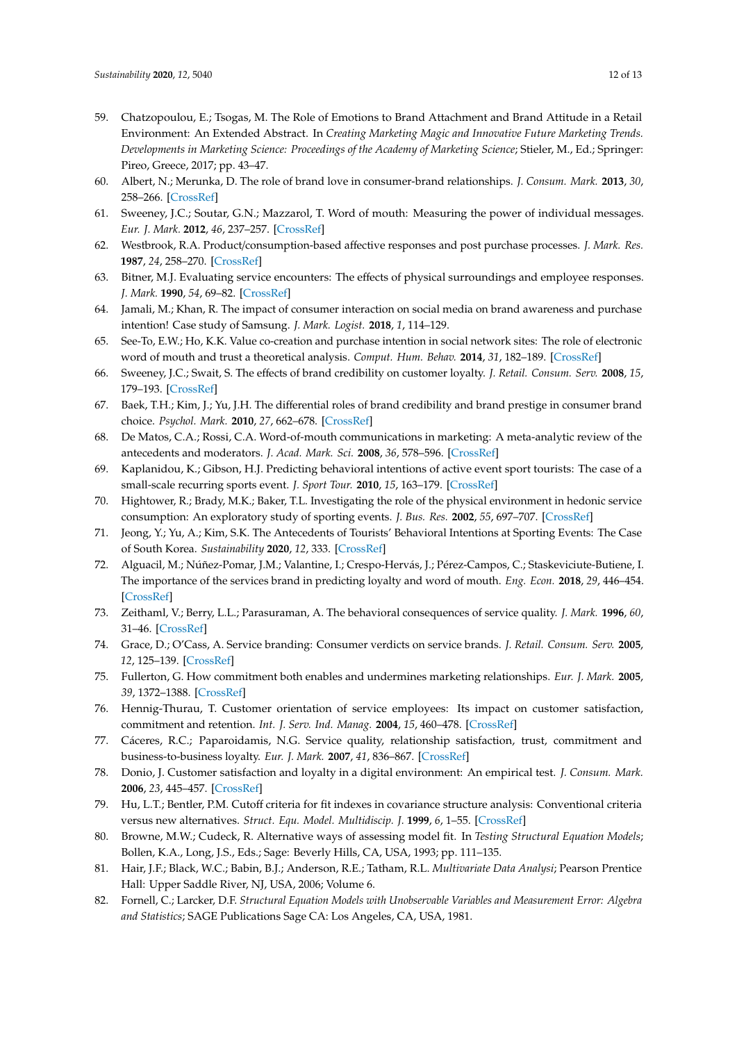- <span id="page-11-0"></span>59. Chatzopoulou, E.; Tsogas, M. The Role of Emotions to Brand Attachment and Brand Attitude in a Retail Environment: An Extended Abstract. In *Creating Marketing Magic and Innovative Future Marketing Trends. Developments in Marketing Science: Proceedings of the Academy of Marketing Science*; Stieler, M., Ed.; Springer: Pireo, Greece, 2017; pp. 43–47.
- <span id="page-11-1"></span>60. Albert, N.; Merunka, D. The role of brand love in consumer-brand relationships. *J. Consum. Mark.* **2013**, *30*, 258–266. [\[CrossRef\]](http://dx.doi.org/10.1108/07363761311328928)
- <span id="page-11-2"></span>61. Sweeney, J.C.; Soutar, G.N.; Mazzarol, T. Word of mouth: Measuring the power of individual messages. *Eur. J. Mark.* **2012**, *46*, 237–257. [\[CrossRef\]](http://dx.doi.org/10.1108/03090561211189310)
- <span id="page-11-3"></span>62. Westbrook, R.A. Product/consumption-based affective responses and post purchase processes. *J. Mark. Res.* **1987**, *24*, 258–270. [\[CrossRef\]](http://dx.doi.org/10.1177/002224378702400302)
- <span id="page-11-4"></span>63. Bitner, M.J. Evaluating service encounters: The effects of physical surroundings and employee responses. *J. Mark.* **1990**, *54*, 69–82. [\[CrossRef\]](http://dx.doi.org/10.1177/002224299005400206)
- <span id="page-11-5"></span>64. Jamali, M.; Khan, R. The impact of consumer interaction on social media on brand awareness and purchase intention! Case study of Samsung. *J. Mark. Logist.* **2018**, *1*, 114–129.
- <span id="page-11-6"></span>65. See-To, E.W.; Ho, K.K. Value co-creation and purchase intention in social network sites: The role of electronic word of mouth and trust a theoretical analysis. *Comput. Hum. Behav.* **2014**, *31*, 182–189. [\[CrossRef\]](http://dx.doi.org/10.1016/j.chb.2013.10.013)
- <span id="page-11-7"></span>66. Sweeney, J.C.; Swait, S. The effects of brand credibility on customer loyalty. *J. Retail. Consum. Serv.* **2008**, *15*, 179–193. [\[CrossRef\]](http://dx.doi.org/10.1016/j.jretconser.2007.04.001)
- <span id="page-11-8"></span>67. Baek, T.H.; Kim, J.; Yu, J.H. The differential roles of brand credibility and brand prestige in consumer brand choice. *Psychol. Mark.* **2010**, *27*, 662–678. [\[CrossRef\]](http://dx.doi.org/10.1002/mar.20350)
- <span id="page-11-9"></span>68. De Matos, C.A.; Rossi, C.A. Word-of-mouth communications in marketing: A meta-analytic review of the antecedents and moderators. *J. Acad. Mark. Sci.* **2008**, *36*, 578–596. [\[CrossRef\]](http://dx.doi.org/10.1007/s11747-008-0121-1)
- <span id="page-11-10"></span>69. Kaplanidou, K.; Gibson, H.J. Predicting behavioral intentions of active event sport tourists: The case of a small-scale recurring sports event. *J. Sport Tour.* **2010**, *15*, 163–179. [\[CrossRef\]](http://dx.doi.org/10.1080/14775085.2010.498261)
- 70. Hightower, R.; Brady, M.K.; Baker, T.L. Investigating the role of the physical environment in hedonic service consumption: An exploratory study of sporting events. *J. Bus. Res.* **2002**, *55*, 697–707. [\[CrossRef\]](http://dx.doi.org/10.1016/S0148-2963(00)00211-3)
- <span id="page-11-11"></span>71. Jeong, Y.; Yu, A.; Kim, S.K. The Antecedents of Tourists' Behavioral Intentions at Sporting Events: The Case of South Korea. *Sustainability* **2020**, *12*, 333. [\[CrossRef\]](http://dx.doi.org/10.3390/su12010333)
- <span id="page-11-12"></span>72. Alguacil, M.; Núñez-Pomar, J.M.; Valantine, I.; Crespo-Hervás, J.; Pérez-Campos, C.; Staskeviciute-Butiene, I. The importance of the services brand in predicting loyalty and word of mouth. *Eng. Econ.* **2018**, *29*, 446–454. [\[CrossRef\]](http://dx.doi.org/10.5755/j01.ee.29.4.17694)
- <span id="page-11-13"></span>73. Zeithaml, V.; Berry, L.L.; Parasuraman, A. The behavioral consequences of service quality. *J. Mark.* **1996**, *60*, 31–46. [\[CrossRef\]](http://dx.doi.org/10.2307/1251929)
- <span id="page-11-14"></span>74. Grace, D.; O'Cass, A. Service branding: Consumer verdicts on service brands. *J. Retail. Consum. Serv.* **2005**, *12*, 125–139. [\[CrossRef\]](http://dx.doi.org/10.1016/j.jretconser.2004.05.002)
- <span id="page-11-15"></span>75. Fullerton, G. How commitment both enables and undermines marketing relationships. *Eur. J. Mark.* **2005**, *39*, 1372–1388. [\[CrossRef\]](http://dx.doi.org/10.1108/03090560510623307)
- <span id="page-11-16"></span>76. Hennig-Thurau, T. Customer orientation of service employees: Its impact on customer satisfaction, commitment and retention. *Int. J. Serv. Ind. Manag.* **2004**, *15*, 460–478. [\[CrossRef\]](http://dx.doi.org/10.1108/09564230410564939)
- <span id="page-11-17"></span>77. Cáceres, R.C.; Paparoidamis, N.G. Service quality, relationship satisfaction, trust, commitment and business-to-business loyalty. *Eur. J. Mark.* **2007**, *41*, 836–867. [\[CrossRef\]](http://dx.doi.org/10.1108/03090560710752429)
- <span id="page-11-18"></span>78. Donio, J. Customer satisfaction and loyalty in a digital environment: An empirical test. *J. Consum. Mark.* **2006**, *23*, 445–457. [\[CrossRef\]](http://dx.doi.org/10.1108/07363760610712993)
- <span id="page-11-19"></span>79. Hu, L.T.; Bentler, P.M. Cutoff criteria for fit indexes in covariance structure analysis: Conventional criteria versus new alternatives. *Struct. Equ. Model. Multidiscip. J.* **1999**, *6*, 1–55. [\[CrossRef\]](http://dx.doi.org/10.1080/10705519909540118)
- <span id="page-11-20"></span>80. Browne, M.W.; Cudeck, R. Alternative ways of assessing model fit. In *Testing Structural Equation Models*; Bollen, K.A., Long, J.S., Eds.; Sage: Beverly Hills, CA, USA, 1993; pp. 111–135.
- <span id="page-11-21"></span>81. Hair, J.F.; Black, W.C.; Babin, B.J.; Anderson, R.E.; Tatham, R.L. *Multivariate Data Analysi*; Pearson Prentice Hall: Upper Saddle River, NJ, USA, 2006; Volume 6.
- <span id="page-11-22"></span>82. Fornell, C.; Larcker, D.F. *Structural Equation Models with Unobservable Variables and Measurement Error: Algebra and Statistics*; SAGE Publications Sage CA: Los Angeles, CA, USA, 1981.